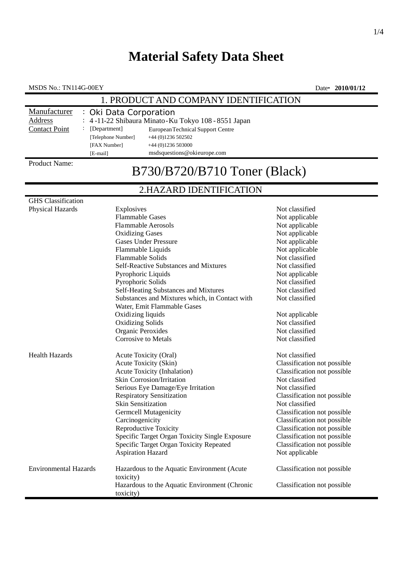## **Material Safety Data Sheet**

MSDS No.: TN114G-00EY Date• **2010/01/12**

### 1. PRODUCT AND COMPANY IDENTIFICATION

| Manufacturer         | : Oki Data Corporation                              |                                   |  |
|----------------------|-----------------------------------------------------|-----------------------------------|--|
| Address              | : 4-11-22 Shibaura Minato-Ku Tokyo 108 - 8551 Japan |                                   |  |
| <b>Contact Point</b> | [Department]                                        | European Technical Support Centre |  |
|                      | [Telephone Number]                                  | $+44$ (0)1236 502502              |  |
|                      | [FAX Number]                                        | $+44(0)1236503000$                |  |
|                      | [E-mail]                                            | msdsquestions@okieurope.com       |  |
|                      |                                                     |                                   |  |

### Product Name:

# B730/B720/B710 Toner (Black)

## 2.HAZARD IDENTIFICATION

| <b>GHS</b> Classification    |                                                                               |                             |
|------------------------------|-------------------------------------------------------------------------------|-----------------------------|
| <b>Physical Hazards</b>      | Explosives                                                                    | Not classified              |
|                              | <b>Flammable Gases</b>                                                        | Not applicable              |
|                              | <b>Flammable Aerosols</b>                                                     | Not applicable              |
|                              | <b>Oxidizing Gases</b>                                                        | Not applicable              |
|                              | <b>Gases Under Pressure</b>                                                   | Not applicable              |
|                              | Flammable Liquids                                                             | Not applicable              |
|                              | Flammable Solids                                                              | Not classified              |
|                              | Self-Reactive Substances and Mixtures                                         | Not classified              |
|                              | Pyrophoric Liquids                                                            | Not applicable              |
|                              | Pyrophoric Solids                                                             | Not classified              |
|                              | Self-Heating Substances and Mixtures                                          | Not classified              |
|                              | Substances and Mixtures which, in Contact with<br>Water, Emit Flammable Gases | Not classified              |
|                              | Oxidizing liquids                                                             | Not applicable              |
|                              | <b>Oxidizing Solids</b>                                                       | Not classified              |
|                              | Organic Peroxides                                                             | Not classified              |
|                              | <b>Corrosive to Metals</b>                                                    | Not classified              |
| <b>Health Hazards</b>        | Acute Toxicity (Oral)                                                         | Not classified              |
|                              | Acute Toxicity (Skin)                                                         | Classification not possible |
|                              | Acute Toxicity (Inhalation)                                                   | Classification not possible |
|                              | <b>Skin Corrosion/Irritation</b>                                              | Not classified              |
|                              | Serious Eye Damage/Eye Irritation                                             | Not classified              |
|                              | <b>Respiratory Sensitization</b>                                              | Classification not possible |
|                              | <b>Skin Sensitization</b>                                                     | Not classified              |
|                              | <b>Germcell Mutagenicity</b>                                                  | Classification not possible |
|                              | Carcinogenicity                                                               | Classification not possible |
|                              | <b>Reproductive Toxicity</b>                                                  | Classification not possible |
|                              | Specific Target Organ Toxicity Single Exposure                                | Classification not possible |
|                              | Specific Target Organ Toxicity Repeated                                       | Classification not possible |
|                              | <b>Aspiration Hazard</b>                                                      | Not applicable              |
| <b>Environmental Hazards</b> | Hazardous to the Aquatic Environment (Acute<br>toxicity)                      | Classification not possible |
|                              | Hazardous to the Aquatic Environment (Chronic<br>toxicity)                    | Classification not possible |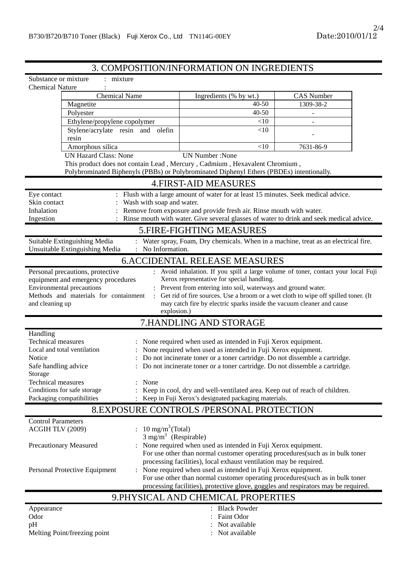### 3. COMPOSITION/INFORMATION ON INGREDIENTS

| Substance or mixture<br>: mixture                                                                      |                                                                  |                                                                                                                                                                                                                                                                                            |                   |  |  |  |  |
|--------------------------------------------------------------------------------------------------------|------------------------------------------------------------------|--------------------------------------------------------------------------------------------------------------------------------------------------------------------------------------------------------------------------------------------------------------------------------------------|-------------------|--|--|--|--|
| <b>Chemical Nature</b>                                                                                 |                                                                  |                                                                                                                                                                                                                                                                                            |                   |  |  |  |  |
| <b>Chemical Name</b>                                                                                   |                                                                  | Ingredients (% by wt.)                                                                                                                                                                                                                                                                     | <b>CAS Number</b> |  |  |  |  |
| Magnetite                                                                                              |                                                                  | $40 - 50$                                                                                                                                                                                                                                                                                  | 1309-38-2         |  |  |  |  |
| Polyester                                                                                              |                                                                  | 40-50                                                                                                                                                                                                                                                                                      |                   |  |  |  |  |
| Ethylene/propylene copolymer                                                                           |                                                                  | <10                                                                                                                                                                                                                                                                                        |                   |  |  |  |  |
| Stylene/acrylate resin and olefin<br>resin                                                             |                                                                  | <10                                                                                                                                                                                                                                                                                        |                   |  |  |  |  |
| Amorphous silica                                                                                       |                                                                  | <10                                                                                                                                                                                                                                                                                        | 7631-86-9         |  |  |  |  |
| <b>UN Hazard Class: None</b>                                                                           |                                                                  | <b>UN Number: None</b>                                                                                                                                                                                                                                                                     |                   |  |  |  |  |
|                                                                                                        |                                                                  | This product does not contain Lead, Mercury, Cadmium, Hexavalent Chromium,                                                                                                                                                                                                                 |                   |  |  |  |  |
| Polybrominated Biphenyls (PBBs) or Polybrominated Diphenyl Ethers (PBDEs) intentionally.               |                                                                  |                                                                                                                                                                                                                                                                                            |                   |  |  |  |  |
| <b>4. FIRST-AID MEASURES</b>                                                                           |                                                                  |                                                                                                                                                                                                                                                                                            |                   |  |  |  |  |
| Eye contact                                                                                            |                                                                  | Flush with a large amount of water for at least 15 minutes. Seek medical advice.                                                                                                                                                                                                           |                   |  |  |  |  |
| Skin contact                                                                                           | Wash with soap and water.                                        |                                                                                                                                                                                                                                                                                            |                   |  |  |  |  |
| Inhalation                                                                                             |                                                                  | Remove from exposure and provide fresh air. Rinse mouth with water.                                                                                                                                                                                                                        |                   |  |  |  |  |
| Ingestion                                                                                              |                                                                  | Rinse mouth with water. Give several glasses of water to drink and seek medical advice.                                                                                                                                                                                                    |                   |  |  |  |  |
|                                                                                                        |                                                                  | 5. FIRE-FIGHTING MEASURES                                                                                                                                                                                                                                                                  |                   |  |  |  |  |
| Suitable Extinguishing Media<br>Unsuitable Extinguishing Media                                         | No Information.                                                  | Water spray, Foam, Dry chemicals. When in a machine, treat as an electrical fire.                                                                                                                                                                                                          |                   |  |  |  |  |
|                                                                                                        |                                                                  | <b>6.ACCIDENTAL RELEASE MEASURES</b>                                                                                                                                                                                                                                                       |                   |  |  |  |  |
| Environmental precautions<br>Methods and materials for containment<br>and cleaning up                  | explosion.)                                                      | : Prevent from entering into soil, waterways and ground water.<br>Get rid of fire sources. Use a broom or a wet cloth to wipe off spilled toner. (It<br>may catch fire by electric sparks inside the vacuum cleaner and cause                                                              |                   |  |  |  |  |
|                                                                                                        | 7.HANDLING AND STORAGE                                           |                                                                                                                                                                                                                                                                                            |                   |  |  |  |  |
| Handling<br><b>Technical measures</b><br>Local and total ventilation<br>Notice<br>Safe handling advice |                                                                  | None required when used as intended in Fuji Xerox equipment.<br>None required when used as intended in Fuji Xerox equipment.<br>Do not incinerate toner or a toner cartridge. Do not dissemble a cartridge.<br>Do not incinerate toner or a toner cartridge. Do not dissemble a cartridge. |                   |  |  |  |  |
| Storage<br>Technical measures<br>Conditions for safe storage<br>Packaging compatibilities              | None                                                             | Keep in cool, dry and well-ventilated area. Keep out of reach of children.<br>Keep in Fuji Xerox's designated packaging materials.                                                                                                                                                         |                   |  |  |  |  |
|                                                                                                        | <b>8.EXPOSURE CONTROLS /PERSONAL PROTECTION</b>                  |                                                                                                                                                                                                                                                                                            |                   |  |  |  |  |
| <b>Control Parameters</b><br>ACGIH TLV (2009)                                                          | : $10 \text{ mg/m}^3$ (Total)<br>$3 \text{ mg/m}^3$ (Respirable) |                                                                                                                                                                                                                                                                                            |                   |  |  |  |  |
| <b>Precautionary Measured</b>                                                                          |                                                                  | : None required when used as intended in Fuji Xerox equipment.<br>For use other than normal customer operating procedures (such as in bulk toner<br>processing facilities), local exhaust ventilation may be required.                                                                     |                   |  |  |  |  |
| Personal Protective Equipment                                                                          |                                                                  | None required when used as intended in Fuji Xerox equipment.<br>For use other than normal customer operating procedures(such as in bulk toner<br>processing facilities), protective glove, goggles and respirators may be required.                                                        |                   |  |  |  |  |
| 9. PHYSICAL AND CHEMICAL PROPERTIES                                                                    |                                                                  |                                                                                                                                                                                                                                                                                            |                   |  |  |  |  |
| Appearance                                                                                             |                                                                  | <b>Black Powder</b>                                                                                                                                                                                                                                                                        |                   |  |  |  |  |
| Odor                                                                                                   |                                                                  | Faint Odor                                                                                                                                                                                                                                                                                 |                   |  |  |  |  |
| pH                                                                                                     |                                                                  | Not available                                                                                                                                                                                                                                                                              |                   |  |  |  |  |
| Melting Point/freezing point                                                                           |                                                                  | Not available                                                                                                                                                                                                                                                                              |                   |  |  |  |  |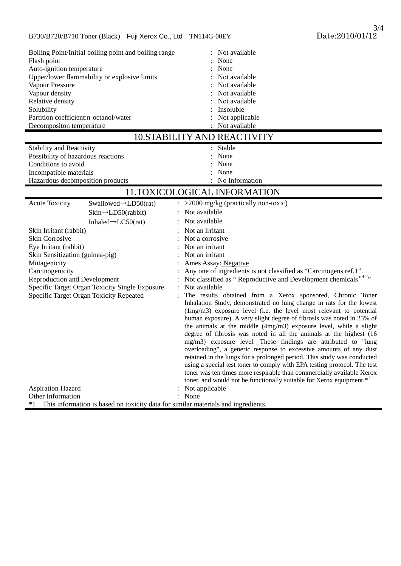| Boiling Point/Initial boiling point and boiling range                                   | Not available                                                                                                                      |  |  |  |  |  |
|-----------------------------------------------------------------------------------------|------------------------------------------------------------------------------------------------------------------------------------|--|--|--|--|--|
| Flash point                                                                             | None                                                                                                                               |  |  |  |  |  |
| Auto-ignition temperature                                                               | None                                                                                                                               |  |  |  |  |  |
| Upper/lower flammability or explosive limits                                            | Not available                                                                                                                      |  |  |  |  |  |
| Vapour Pressure                                                                         | Not available                                                                                                                      |  |  |  |  |  |
| Vapour density                                                                          | Not available                                                                                                                      |  |  |  |  |  |
| Relative density                                                                        | Not available                                                                                                                      |  |  |  |  |  |
| Solubility                                                                              | Insoluble                                                                                                                          |  |  |  |  |  |
| Partition coefficient:n-octanol/water                                                   | Not applicable                                                                                                                     |  |  |  |  |  |
| Decompositon temperature                                                                | Not available                                                                                                                      |  |  |  |  |  |
| <b>10.STABILITY AND REACTIVITY</b>                                                      |                                                                                                                                    |  |  |  |  |  |
| <b>Stability and Reactivity</b>                                                         | Stable                                                                                                                             |  |  |  |  |  |
| Possibility of hazardous reactions                                                      | None                                                                                                                               |  |  |  |  |  |
| Conditions to avoid                                                                     | None                                                                                                                               |  |  |  |  |  |
| Incompatible materials                                                                  | None                                                                                                                               |  |  |  |  |  |
| Hazardous decomposition products                                                        | No Information                                                                                                                     |  |  |  |  |  |
| 11.TOXICOLOGICAL INFORMATION                                                            |                                                                                                                                    |  |  |  |  |  |
| <b>Acute Toxicity</b><br>Swallowed $\rightarrow$ LD50(rat)                              | $>$ 2000 mg/kg (practically non-toxic)                                                                                             |  |  |  |  |  |
| $\sin \rightarrow \text{LD50}$ (rabbit)                                                 | Not available                                                                                                                      |  |  |  |  |  |
| Inhaled $\rightarrow$ LC50(rat)                                                         | Not available                                                                                                                      |  |  |  |  |  |
| Skin Irritant (rabbit)                                                                  | Not an irritant                                                                                                                    |  |  |  |  |  |
| <b>Skin Corrosive</b>                                                                   | Not a corrosive                                                                                                                    |  |  |  |  |  |
| Eye Irritant (rabbit)                                                                   | Not an irritant                                                                                                                    |  |  |  |  |  |
| Skin Sensitization (guinea-pig)                                                         | Not an irritant                                                                                                                    |  |  |  |  |  |
| Mutagenicity                                                                            | Ames Assay: Negative                                                                                                               |  |  |  |  |  |
| Carcinogenicity                                                                         | Any one of ingredients is not classified as "Carcinogens ref.1".                                                                   |  |  |  |  |  |
| <b>Reproduction and Development</b>                                                     | Not classified as "Reproductive and Development chemicals <sup>ref.2</sup> "                                                       |  |  |  |  |  |
| Specific Target Organ Toxicity Single Exposure                                          | Not available                                                                                                                      |  |  |  |  |  |
| Specific Target Organ Toxicity Repeated                                                 | The results obtained from a Xerox sponsored, Chronic Toner<br>Inhalation Study, demonstrated no lung change in rats for the lowest |  |  |  |  |  |
|                                                                                         | $(1mg/m3)$ exposure level (i.e. the level most relevant to potential                                                               |  |  |  |  |  |
|                                                                                         | human exposure). A very slight degree of fibrosis was noted in 25% of                                                              |  |  |  |  |  |
|                                                                                         | the animals at the middle (4mg/m3) exposure level, while a slight                                                                  |  |  |  |  |  |
|                                                                                         | degree of fibrosis was noted in all the animals at the highest (16                                                                 |  |  |  |  |  |
|                                                                                         | mg/m3) exposure level. These findings are attributed to "lung                                                                      |  |  |  |  |  |
|                                                                                         | overloading", a generic response to excessive amounts of any dust                                                                  |  |  |  |  |  |
|                                                                                         | retained in the lungs for a prolonged period. This study was conducted                                                             |  |  |  |  |  |
|                                                                                         | using a special test toner to comply with EPA testing protocol. The test                                                           |  |  |  |  |  |
|                                                                                         | toner was ten times more respirable than commercially available Xerox                                                              |  |  |  |  |  |
|                                                                                         | toner, and would not be functionally suitable for Xerox equipment.* <sup>1</sup>                                                   |  |  |  |  |  |
| <b>Aspiration Hazard</b>                                                                | Not applicable                                                                                                                     |  |  |  |  |  |
| Other Information                                                                       | None                                                                                                                               |  |  |  |  |  |
| This information is based on toxicity data for similar materials and ingredients.<br>*1 |                                                                                                                                    |  |  |  |  |  |